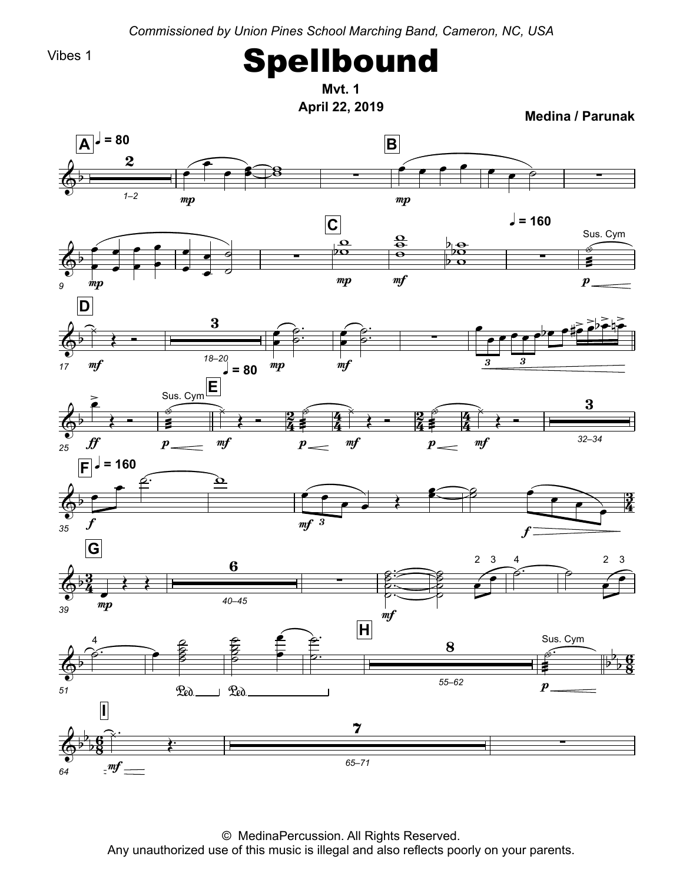*Commissioned by Union Pines School Marching Band, Cameron, NC, USA*

Vibes 1

## Spellbound

**April 22, <sup>2019</sup> MedinaMvt.1**

**/ Parunak**



© MedinaPercussion. All Rights Reserved.<br>Any unauthorized use of this music is illegal and also reflects poorly Any unauthorized use of this music is illegal and also reflects poorly on your parents.